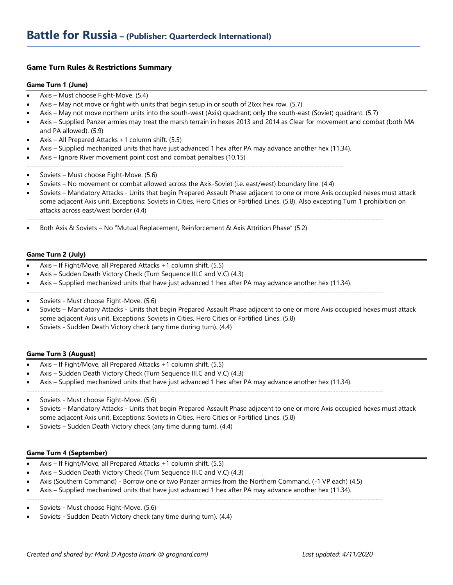# **Game Turn Rules & Restrictions Summary**

#### **Game Turn 1 (June)**

- Axis Must choose Fight-Move. (5.4)
- Axis May not move or fight with units that begin setup in or south of 26xx hex row. (5.7)
- Axis May not move northern units into the south-west (Axis) quadrant; only the south-east (Soviet) quadrant. (5.7)
- Axis Supplied Panzer armies may treat the marsh terrain in hexes 2013 and 2014 as Clear for movement and combat (both MA and PA allowed). (5.9)
- Axis All Prepared Attacks +1 column shift. (5.5)
- Axis Supplied mechanized units that have just advanced 1 hex after PA may advance another hex (11.34).
- Axis Ignore River movement point cost and combat penalties (10.15)
- -----------------------------------------------------------------------------------------------------------------------
- Soviets Must choose Fight-Move. (5.6)
- Soviets No movement or combat allowed across the Axis-Soviet (i.e. east/west) boundary line. (4.4)
- Soviets Mandatory Attacks Units that begin Prepared Assault Phase adjacent to one or more Axis occupied hexes must attack some adjacent Axis unit. Exceptions: Soviets in Cities, Hero Cities or Fortified Lines. (5.8). Also excepting Turn 1 prohibition on attacks across east/west border (4.4)

--------------------------------------------------------------------------------------------------------------------------------------

--------------------------------------------------------------------------------------------------------------------------------------

• Both Axis & Soviets – No "Mutual Replacement, Reinforcement & Axis Attrition Phase" (5.2)

### **Game Turn 2 (July)**

- Axis If Fight/Move, all Prepared Attacks +1 column shift. (5.5)
- Axis Sudden Death Victory Check (Turn Sequence III.C and V.C) (4.3)
- Axis Supplied mechanized units that have just advanced 1 hex after PA may advance another hex (11.34).
- Soviets Must choose Fight-Move. (5.6)
- Soviets Mandatory Attacks Units that begin Prepared Assault Phase adjacent to one or more Axis occupied hexes must attack some adjacent Axis unit. Exceptions: Soviets in Cities, Hero Cities or Fortified Lines. (5.8)
- Soviets Sudden Death Victory check (any time during turn). (4.4)

#### **Game Turn 3 (August)**

- Axis If Fight/Move, all Prepared Attacks +1 column shift. (5.5)
- Axis Sudden Death Victory Check (Turn Sequence III.C and V.C) (4.3)
- Axis Supplied mechanized units that have just advanced 1 hex after PA may advance another hex (11.34).
- --------------------------------------------------------------------------------------------------------------------------------------
- Soviets Must choose Fight-Move. (5.6)
- Soviets Mandatory Attacks Units that begin Prepared Assault Phase adjacent to one or more Axis occupied hexes must attack some adjacent Axis unit. Exceptions: Soviets in Cities, Hero Cities or Fortified Lines. (5.8)
- Soviets Sudden Death Victory check (any time during turn). (4.4)

## **Game Turn 4 (September)**

- Axis If Fight/Move, all Prepared Attacks +1 column shift. (5.5)
- Axis Sudden Death Victory Check (Turn Sequence III.C and V.C) (4.3)
- Axis (Southern Command) Borrow one or two Panzer armies from the Northern Command. (-1 VP each) (4.5)

--------------------------------------------------------------------------------------------------------------------------------------

- Axis Supplied mechanized units that have just advanced 1 hex after PA may advance another hex (11.34).
- Soviets Must choose Fight-Move. (5.6)
- Soviets Sudden Death Victory check (any time during turn). (4.4)